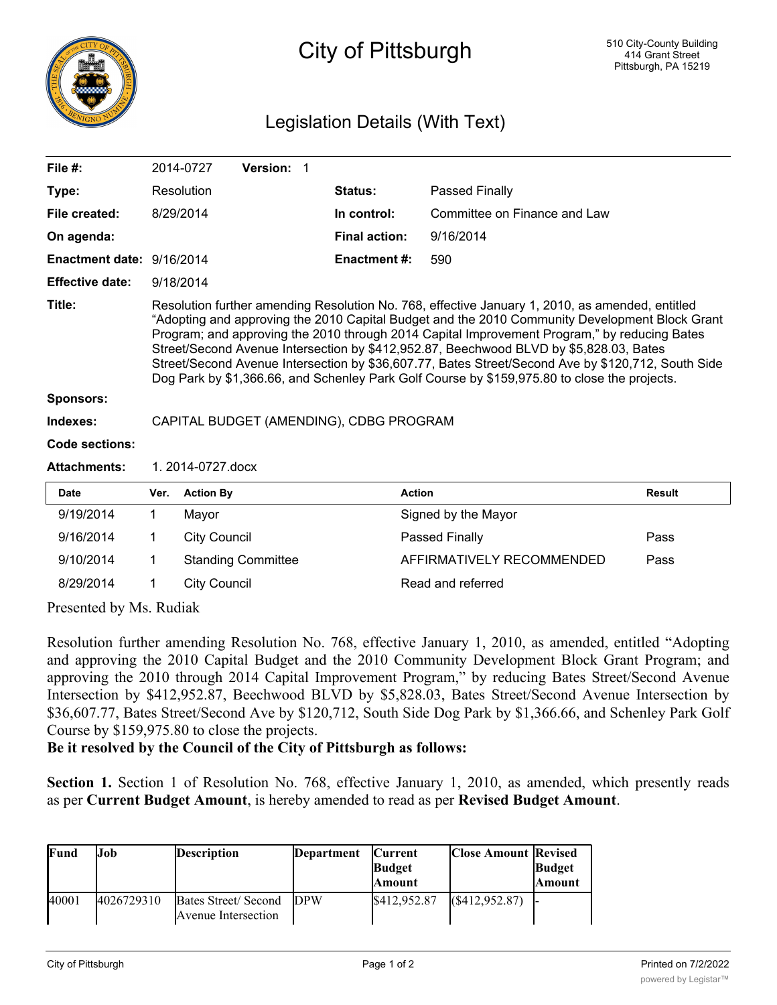

## City of Pittsburgh

## Legislation Details (With Text)

| File $#$ :                |                                                                                                                                                                                                                                                                                                                                                                                                                                                                                                                                                                                                   | 2014-0727           | Version: 1                |  |                      |                                   |               |
|---------------------------|---------------------------------------------------------------------------------------------------------------------------------------------------------------------------------------------------------------------------------------------------------------------------------------------------------------------------------------------------------------------------------------------------------------------------------------------------------------------------------------------------------------------------------------------------------------------------------------------------|---------------------|---------------------------|--|----------------------|-----------------------------------|---------------|
| Type:                     |                                                                                                                                                                                                                                                                                                                                                                                                                                                                                                                                                                                                   | Resolution          |                           |  | Status:              | Passed Finally                    |               |
| File created:             |                                                                                                                                                                                                                                                                                                                                                                                                                                                                                                                                                                                                   | 8/29/2014           |                           |  | In control:          | Committee on Finance and Law      |               |
| On agenda:                |                                                                                                                                                                                                                                                                                                                                                                                                                                                                                                                                                                                                   |                     |                           |  | <b>Final action:</b> | 9/16/2014                         |               |
| Enactment date: 9/16/2014 |                                                                                                                                                                                                                                                                                                                                                                                                                                                                                                                                                                                                   |                     |                           |  | <b>Enactment #:</b>  | 590                               |               |
| <b>Effective date:</b>    |                                                                                                                                                                                                                                                                                                                                                                                                                                                                                                                                                                                                   | 9/18/2014           |                           |  |                      |                                   |               |
| Title:                    | Resolution further amending Resolution No. 768, effective January 1, 2010, as amended, entitled<br>"Adopting and approving the 2010 Capital Budget and the 2010 Community Development Block Grant<br>Program; and approving the 2010 through 2014 Capital Improvement Program," by reducing Bates<br>Street/Second Avenue Intersection by \$412,952.87, Beechwood BLVD by \$5,828.03, Bates<br>Street/Second Avenue Intersection by \$36,607.77, Bates Street/Second Ave by \$120,712, South Side<br>Dog Park by \$1,366.66, and Schenley Park Golf Course by \$159,975.80 to close the projects. |                     |                           |  |                      |                                   |               |
| <b>Sponsors:</b>          |                                                                                                                                                                                                                                                                                                                                                                                                                                                                                                                                                                                                   |                     |                           |  |                      |                                   |               |
| Indexes:                  | CAPITAL BUDGET (AMENDING), CDBG PROGRAM                                                                                                                                                                                                                                                                                                                                                                                                                                                                                                                                                           |                     |                           |  |                      |                                   |               |
| Code sections:            |                                                                                                                                                                                                                                                                                                                                                                                                                                                                                                                                                                                                   |                     |                           |  |                      |                                   |               |
| <b>Attachments:</b>       | 1. 2014-0727.docx                                                                                                                                                                                                                                                                                                                                                                                                                                                                                                                                                                                 |                     |                           |  |                      |                                   |               |
| <b>Date</b>               | Ver.                                                                                                                                                                                                                                                                                                                                                                                                                                                                                                                                                                                              | <b>Action By</b>    |                           |  | <b>Action</b>        |                                   | <b>Result</b> |
| 9/19/2014                 | 1                                                                                                                                                                                                                                                                                                                                                                                                                                                                                                                                                                                                 | Mayor               |                           |  |                      | Signed by the Mayor               |               |
| 9/16/2014                 | 1                                                                                                                                                                                                                                                                                                                                                                                                                                                                                                                                                                                                 | <b>City Council</b> |                           |  |                      | <b>Passed Finally</b>             | Pass          |
| 9/10/2014                 | 1                                                                                                                                                                                                                                                                                                                                                                                                                                                                                                                                                                                                 |                     | <b>Standing Committee</b> |  |                      | AFFIRMATIVELY RECOMMENDED<br>Pass |               |
| 8/29/2014                 | 1                                                                                                                                                                                                                                                                                                                                                                                                                                                                                                                                                                                                 | <b>City Council</b> |                           |  |                      | Read and referred                 |               |

Presented by Ms. Rudiak

Resolution further amending Resolution No. 768, effective January 1, 2010, as amended, entitled "Adopting and approving the 2010 Capital Budget and the 2010 Community Development Block Grant Program; and approving the 2010 through 2014 Capital Improvement Program," by reducing Bates Street/Second Avenue Intersection by \$412,952.87, Beechwood BLVD by \$5,828.03, Bates Street/Second Avenue Intersection by \$36,607.77, Bates Street/Second Ave by \$120,712, South Side Dog Park by \$1,366.66, and Schenley Park Golf Course by \$159,975.80 to close the projects.

## **Be it resolved by the Council of the City of Pittsburgh as follows:**

**Section 1.** Section 1 of Resolution No. 768, effective January 1, 2010, as amended, which presently reads as per **Current Budget Amount**, is hereby amended to read as per **Revised Budget Amount**.

| Fund  | Job        | <b>Description</b>                          | Department  | <b>Current</b><br><b>Budget</b><br>lAmount | <b>Close Amount Revised</b> | <b>Budget</b><br><b>Amount</b> |
|-------|------------|---------------------------------------------|-------------|--------------------------------------------|-----------------------------|--------------------------------|
| 40001 | 4026729310 | Bates Street/ Second<br>Avenue Intersection | <b>IDPW</b> | \$412,952.87                               | (S412, 952.87)              |                                |